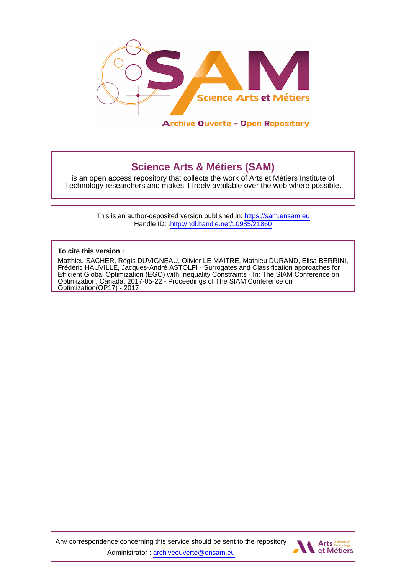

## **Science Arts & Métiers (SAM)**

is an open access repository that collects the work of Arts et Métiers Institute of Technology researchers and makes it freely available over the web where possible.

> This is an author-deposited version published in:<https://sam.ensam.eu> Handle ID: [.http://hdl.handle.net/10985/21860](http://hdl.handle.net/10985/21860)

**To cite this version :**

Matthieu SACHER, Régis DUVIGNEAU, Olivier LE MAITRE, Mathieu DURAND, Elisa BERRINI, Frédéric HAUVILLE, Jacques-André ASTOLFI - Surrogates and Classification approaches for Efficient Global Optimization (EGO) with Inequality Constraints - In: The SIAM Conference on Optimization, Canada, 2017-05-22 - Proceedings of The SIAM Conference on Optimization(OP17) - 2017

Any correspondence concerning this service should be sent to the repository Administrator : [archiveouverte@ensam.eu](mailto:archiveouverte@ensam.eu)